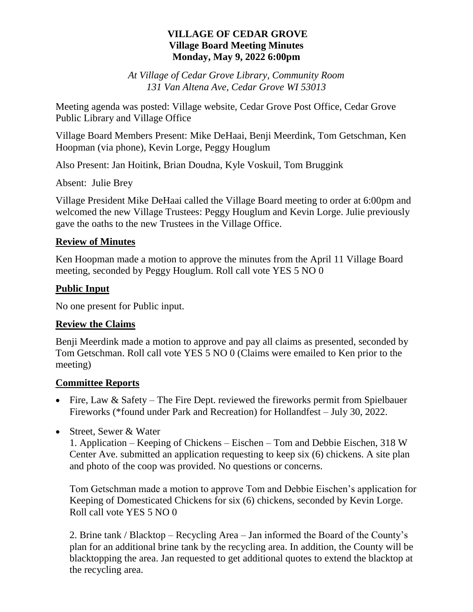### **VILLAGE OF CEDAR GROVE Village Board Meeting Minutes Monday, May 9, 2022 6:00pm**

*At Village of Cedar Grove Library, Community Room 131 Van Altena Ave, Cedar Grove WI 53013*

Meeting agenda was posted: Village website, Cedar Grove Post Office, Cedar Grove Public Library and Village Office

Village Board Members Present: Mike DeHaai, Benji Meerdink, Tom Getschman, Ken Hoopman (via phone), Kevin Lorge, Peggy Houglum

Also Present: Jan Hoitink, Brian Doudna, Kyle Voskuil, Tom Bruggink

Absent: Julie Brey

Village President Mike DeHaai called the Village Board meeting to order at 6:00pm and welcomed the new Village Trustees: Peggy Houglum and Kevin Lorge. Julie previously gave the oaths to the new Trustees in the Village Office.

## **Review of Minutes**

Ken Hoopman made a motion to approve the minutes from the April 11 Village Board meeting, seconded by Peggy Houglum. Roll call vote YES 5 NO 0

# **Public Input**

No one present for Public input.

### **Review the Claims**

Benji Meerdink made a motion to approve and pay all claims as presented, seconded by Tom Getschman. Roll call vote YES 5 NO 0 (Claims were emailed to Ken prior to the meeting)

### **Committee Reports**

- Fire, Law & Safety The Fire Dept. reviewed the fireworks permit from Spielbauer Fireworks (\*found under Park and Recreation) for Hollandfest – July 30, 2022.
- Street, Sewer & Water

1. Application – Keeping of Chickens – Eischen – Tom and Debbie Eischen, 318 W Center Ave. submitted an application requesting to keep six (6) chickens. A site plan and photo of the coop was provided. No questions or concerns.

Tom Getschman made a motion to approve Tom and Debbie Eischen's application for Keeping of Domesticated Chickens for six (6) chickens, seconded by Kevin Lorge. Roll call vote YES 5 NO 0

2. Brine tank / Blacktop – Recycling Area – Jan informed the Board of the County's plan for an additional brine tank by the recycling area. In addition, the County will be blacktopping the area. Jan requested to get additional quotes to extend the blacktop at the recycling area.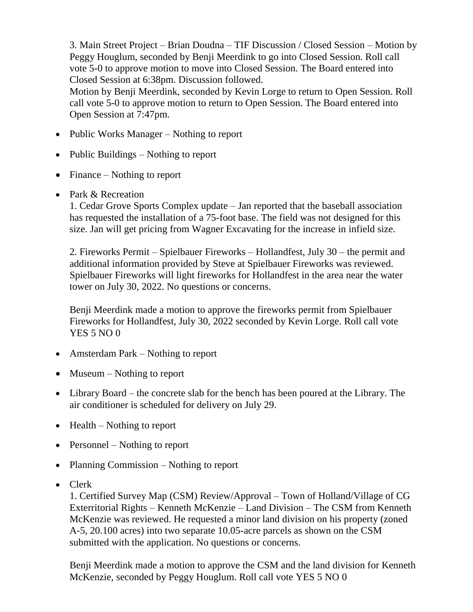3. Main Street Project – Brian Doudna – TIF Discussion / Closed Session – Motion by Peggy Houglum, seconded by Benji Meerdink to go into Closed Session. Roll call vote 5-0 to approve motion to move into Closed Session. The Board entered into Closed Session at 6:38pm. Discussion followed.

Motion by Benji Meerdink, seconded by Kevin Lorge to return to Open Session. Roll call vote 5-0 to approve motion to return to Open Session. The Board entered into Open Session at 7:47pm.

- Public Works Manager Nothing to report
- Public Buildings  $-$  Nothing to report
- Finance Nothing to report
- Park & Recreation

1. Cedar Grove Sports Complex update – Jan reported that the baseball association has requested the installation of a 75-foot base. The field was not designed for this size. Jan will get pricing from Wagner Excavating for the increase in infield size.

2. Fireworks Permit – Spielbauer Fireworks – Hollandfest, July 30 – the permit and additional information provided by Steve at Spielbauer Fireworks was reviewed. Spielbauer Fireworks will light fireworks for Hollandfest in the area near the water tower on July 30, 2022. No questions or concerns.

Benji Meerdink made a motion to approve the fireworks permit from Spielbauer Fireworks for Hollandfest, July 30, 2022 seconded by Kevin Lorge. Roll call vote YES 5 NO 0

- Amsterdam Park Nothing to report
- $\bullet$  Museum Nothing to report
- Library Board the concrete slab for the bench has been poured at the Library. The air conditioner is scheduled for delivery on July 29.
- $\bullet$  Health Nothing to report
- Personnel Nothing to report
- Planning Commission Nothing to report
- Clerk

1. Certified Survey Map (CSM) Review/Approval – Town of Holland/Village of CG Exterritorial Rights – Kenneth McKenzie – Land Division – The CSM from Kenneth McKenzie was reviewed. He requested a minor land division on his property (zoned A-5, 20.100 acres) into two separate 10.05-acre parcels as shown on the CSM submitted with the application. No questions or concerns.

Benji Meerdink made a motion to approve the CSM and the land division for Kenneth McKenzie, seconded by Peggy Houglum. Roll call vote YES 5 NO 0